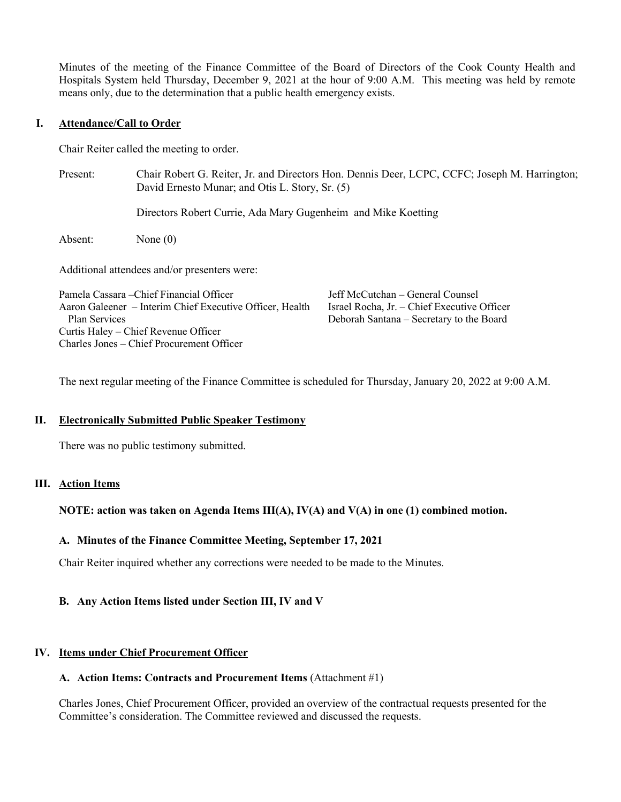Minutes of the meeting of the Finance Committee of the Board of Directors of the Cook County Health and Hospitals System held Thursday, December 9, 2021 at the hour of 9:00 A.M. This meeting was held by remote means only, due to the determination that a public health emergency exists.

## **I. Attendance/Call to Order**

Chair Reiter called the meeting to order.

Present: Chair Robert G. Reiter, Jr. and Directors Hon. Dennis Deer, LCPC, CCFC; Joseph M. Harrington; David Ernesto Munar; and Otis L. Story, Sr. (5)

Directors Robert Currie, Ada Mary Gugenheim and Mike Koetting

Absent: None (0)

Additional attendees and/or presenters were:

| Pamela Cassara – Chief Financial Officer                 | Jeff McCutchan – General Counsel            |
|----------------------------------------------------------|---------------------------------------------|
| Aaron Galeener – Interim Chief Executive Officer, Health | Israel Rocha, Jr. – Chief Executive Officer |
| Plan Services                                            | Deborah Santana – Secretary to the Board    |
| Curtis Haley – Chief Revenue Officer                     |                                             |
| Charles Jones – Chief Procurement Officer                |                                             |

The next regular meeting of the Finance Committee is scheduled for Thursday, January 20, 2022 at 9:00 A.M.

# **II. Electronically Submitted Public Speaker Testimony**

There was no public testimony submitted.

### **III. Action Items**

# **NOTE: action was taken on Agenda Items III(A), IV(A) and V(A) in one (1) combined motion.**

## **A. Minutes of the Finance Committee Meeting, September 17, 2021**

Chair Reiter inquired whether any corrections were needed to be made to the Minutes.

# **B. Any Action Items listed under Section III, IV and V**

### **IV. Items under Chief Procurement Officer**

### **A. Action Items: Contracts and Procurement Items** (Attachment #1)

Charles Jones, Chief Procurement Officer, provided an overview of the contractual requests presented for the Committee's consideration. The Committee reviewed and discussed the requests.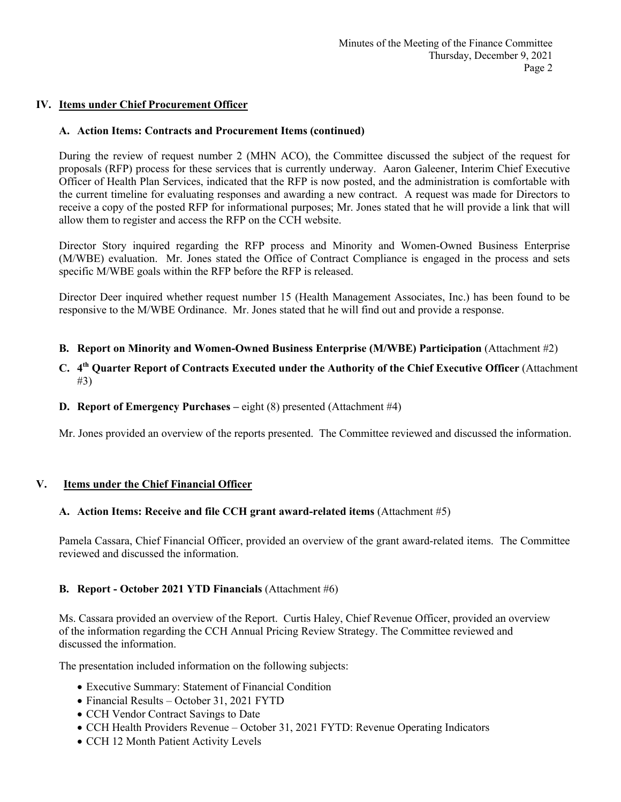# **IV. Items under Chief Procurement Officer**

# **A. Action Items: Contracts and Procurement Items (continued)**

During the review of request number 2 (MHN ACO), the Committee discussed the subject of the request for proposals (RFP) process for these services that is currently underway. Aaron Galeener, Interim Chief Executive Officer of Health Plan Services, indicated that the RFP is now posted, and the administration is comfortable with the current timeline for evaluating responses and awarding a new contract. A request was made for Directors to receive a copy of the posted RFP for informational purposes; Mr. Jones stated that he will provide a link that will allow them to register and access the RFP on the CCH website.

Director Story inquired regarding the RFP process and Minority and Women-Owned Business Enterprise (M/WBE) evaluation. Mr. Jones stated the Office of Contract Compliance is engaged in the process and sets specific M/WBE goals within the RFP before the RFP is released.

Director Deer inquired whether request number 15 (Health Management Associates, Inc.) has been found to be responsive to the M/WBE Ordinance. Mr. Jones stated that he will find out and provide a response.

- **B. Report on Minority and Women-Owned Business Enterprise (M/WBE) Participation** (Attachment #2)
- **C. 4th Quarter Report of Contracts Executed under the Authority of the Chief Executive Officer** (Attachment #3)
- **D. Report of Emergency Purchases –** eight (8) presented (Attachment #4)

Mr. Jones provided an overview of the reports presented. The Committee reviewed and discussed the information.

# **V. Items under the Chief Financial Officer**

# **A. Action Items: Receive and file CCH grant award-related items** (Attachment #5)

Pamela Cassara, Chief Financial Officer, provided an overview of the grant award-related items. The Committee reviewed and discussed the information.

# **B. Report - October 2021 YTD Financials** (Attachment #6)

Ms. Cassara provided an overview of the Report. Curtis Haley, Chief Revenue Officer, provided an overview of the information regarding the CCH Annual Pricing Review Strategy. The Committee reviewed and discussed the information.

The presentation included information on the following subjects:

- Executive Summary: Statement of Financial Condition
- Financial Results October 31, 2021 FYTD
- CCH Vendor Contract Savings to Date
- CCH Health Providers Revenue October 31, 2021 FYTD: Revenue Operating Indicators
- CCH 12 Month Patient Activity Levels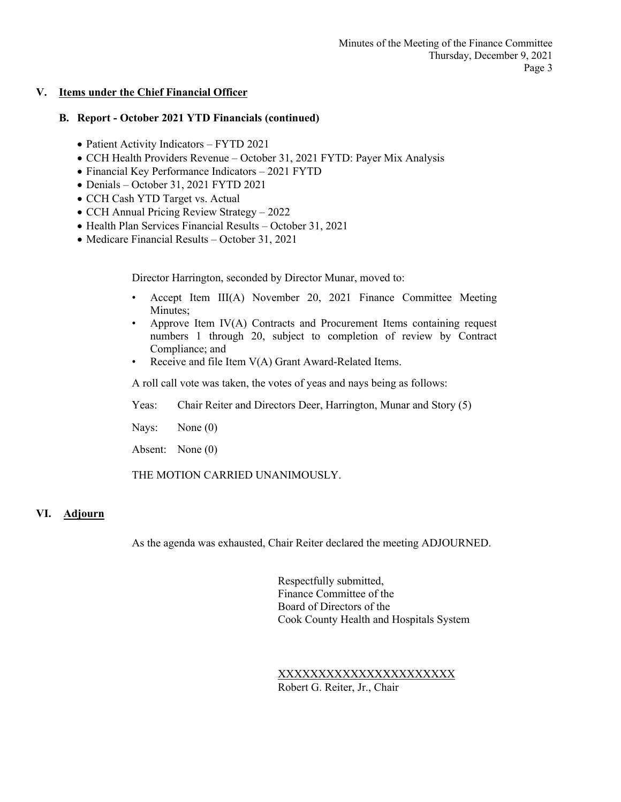## **V. Items under the Chief Financial Officer**

## **B. Report - October 2021 YTD Financials (continued)**

- Patient Activity Indicators FYTD 2021
- CCH Health Providers Revenue October 31, 2021 FYTD: Payer Mix Analysis
- Financial Key Performance Indicators 2021 FYTD
- Denials October 31, 2021 FYTD 2021
- CCH Cash YTD Target vs. Actual
- CCH Annual Pricing Review Strategy 2022
- Health Plan Services Financial Results October 31, 2021
- Medicare Financial Results October 31, 2021

Director Harrington, seconded by Director Munar, moved to:

- Accept Item III(A) November 20, 2021 Finance Committee Meeting Minutes;
- Approve Item IV(A) Contracts and Procurement Items containing request numbers 1 through 20, subject to completion of review by Contract Compliance; and
- Receive and file Item V(A) Grant Award-Related Items.

A roll call vote was taken, the votes of yeas and nays being as follows:

- Yeas: Chair Reiter and Directors Deer, Harrington, Munar and Story (5)
- Nays: None (0)
- Absent: None (0)

THE MOTION CARRIED UNANIMOUSLY.

## **VI. Adjourn**

As the agenda was exhausted, Chair Reiter declared the meeting ADJOURNED.

Respectfully submitted, Finance Committee of the Board of Directors of the Cook County Health and Hospitals System

XXXXXXXXXXXXXXXXXXXXXX Robert G. Reiter, Jr., Chair